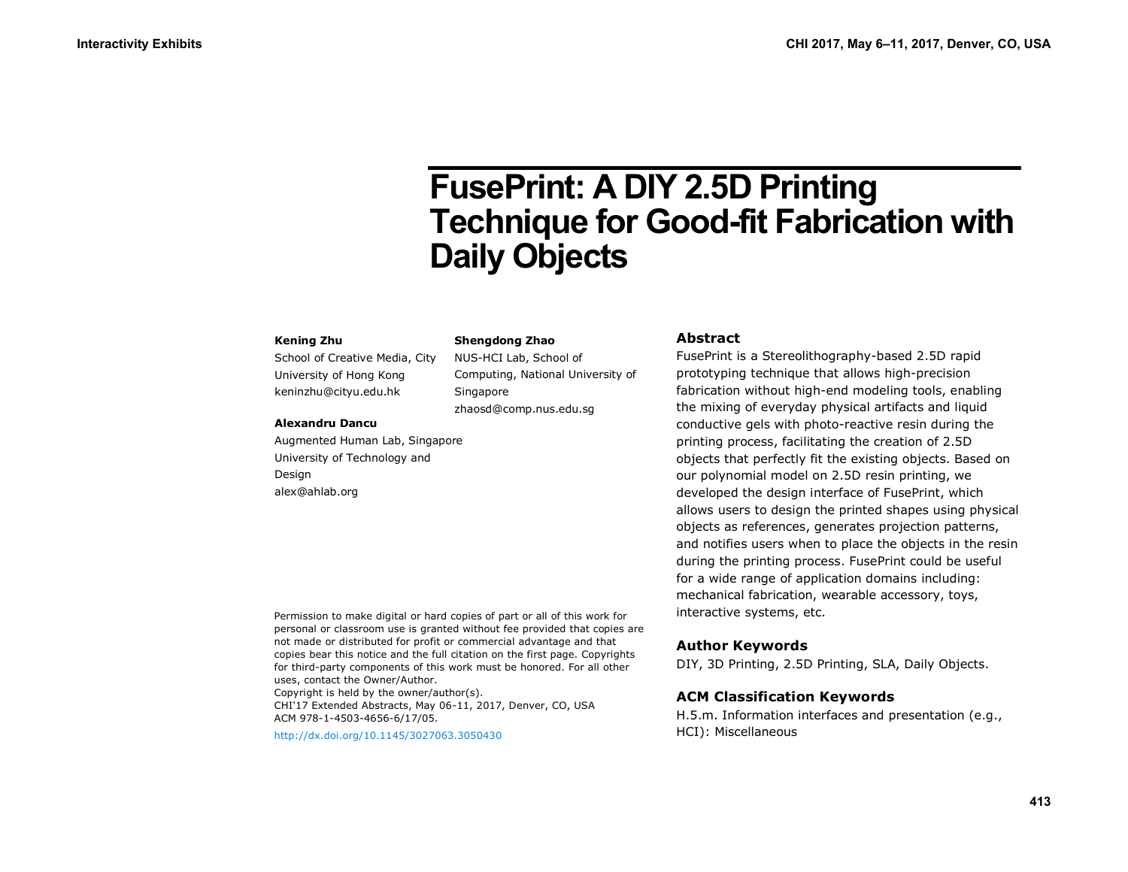# **FusePrint: A DIY 2.5D Printing Technique for Good-fit Fabrication with Daily Objects**

#### **Kening Zhu**

School of Creative Media, City University of Hong Kong keninzhu@cityu.edu.hk

#### **Shengdong Zhao**

NUS-HCI Lab, School of Computing, National University of **Singapore** zhaosd@comp.nus.edu.sg

#### **Alexandru Dancu**

Augmented Human Lab, Singapore University of Technology and Design alex@ahlab.org

#### Permission to make digital or hard copies of part or all of this work for personal or classroom use is granted without fee provided that copies are not made or distributed for profit or commercial advantage and that copies bear this notice and the full citation on the first page. Copyrights for third-party components of this work must be honored. For all other uses, contact the Owner/Author.

Copyright is held by the owner/author(s). CHI'17 Extended Abstracts, May 06-11, 2017, Denver, CO, USA ACM 978-1-4503-4656-6/17/05.

<http://dx.doi.org/10.1145/3027063.3050430>

## **Abstract**

FusePrint is a Stereolithography-based 2.5D rapid prototyping technique that allows high-precision fabrication without high-end modeling tools, enabling the mixing of everyday physical artifacts and liquid conductive gels with photo-reactive resin during the printing process, facilitating the creation of 2.5D objects that perfectly fit the existing objects. Based on our polynomial model on 2.5D resin printing, we developed the design interface of FusePrint, which allows users to design the printed shapes using physical objects as references, generates projection patterns, and notifies users when to place the objects in the resin during the printing process. FusePrint could be useful for a wide range of application domains including: mechanical fabrication, wearable accessory, toys, interactive systems, etc.

## **Author Keywords**

DIY, 3D Printing, 2.5D Printing, SLA, Daily Objects.

# **ACM Classification Keywords**

H.5.m. Information interfaces and presentation (e.g., HCI): Miscellaneous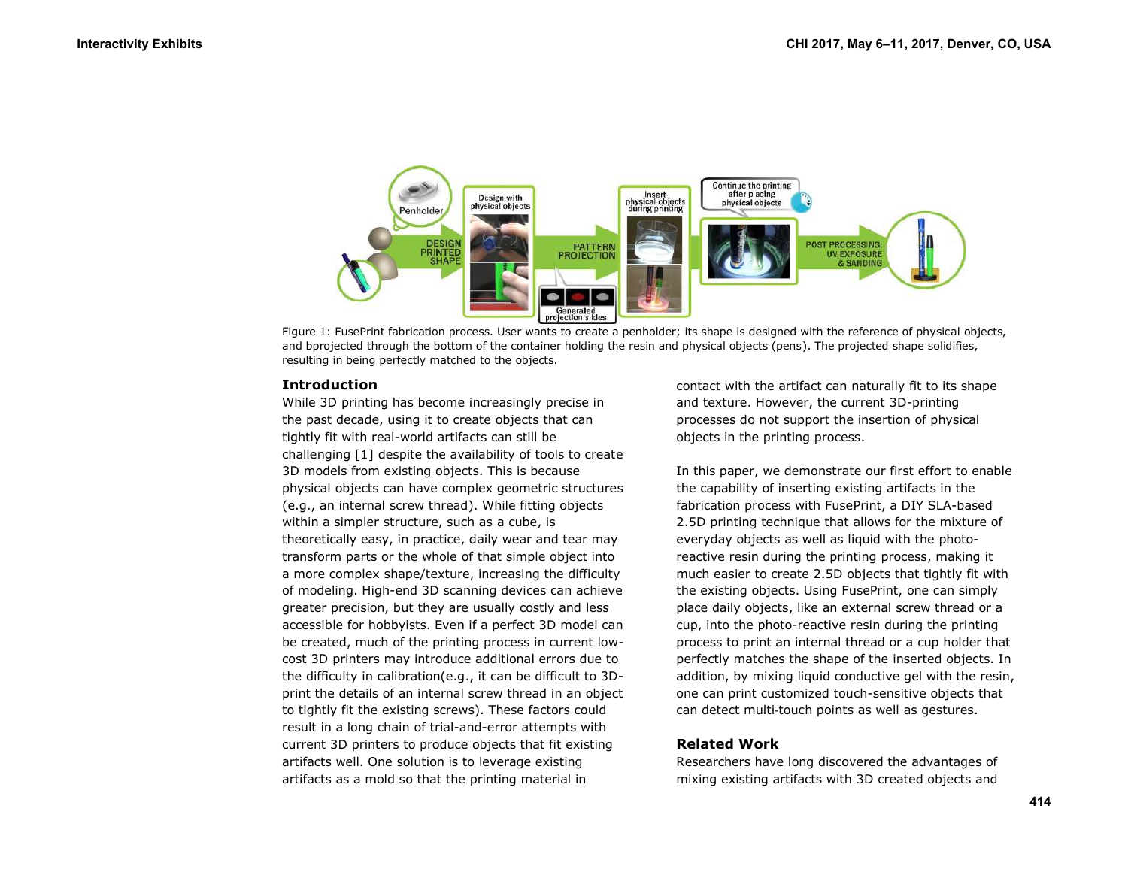

Figure 1: FusePrint fabrication process. User wants to create a penholder; its shape is designed with the reference of physical objects, and bprojected through the bottom of the container holding the resin and physical objects (pens). The projected shape solidifies, resulting in being perfectly matched to the objects.

## **Introduction**

While 3D printing has become increasingly precise in the past decade, using it to create objects that can tightly fit with real-world artifacts can still be challenging [1] despite the availability of tools to create 3D models from existing objects. This is because physical objects can have complex geometric structures (e.g., an internal screw thread). While fitting objects within a simpler structure, such as a cube, is theoretically easy, in practice, daily wear and tear may transform parts or the whole of that simple object into a more complex shape/texture, increasing the difficulty of modeling. High-end 3D scanning devices can achieve greater precision, but they are usually costly and less accessible for hobbyists. Even if a perfect 3D model can be created, much of the printing process in current lowcost 3D printers may introduce additional errors due to the difficulty in calibration(e.g., it can be difficult to 3Dprint the details of an internal screw thread in an object to tightly fit the existing screws). These factors could result in a long chain of trial-and-error attempts with current 3D printers to produce objects that fit existing artifacts well. One solution is to leverage existing artifacts as a mold so that the printing material in

contact with the artifact can naturally fit to its shape and texture. However, the current 3D-printing processes do not support the insertion of physical objects in the printing process.

In this paper, we demonstrate our first effort to enable the capability of inserting existing artifacts in the fabrication process with FusePrint, a DIY SLA-based 2.5D printing technique that allows for the mixture of everyday objects as well as liquid with the photoreactive resin during the printing process, making it much easier to create 2.5D objects that tightly fit with the existing objects. Using FusePrint, one can simply place daily objects, like an external screw thread or a cup, into the photo-reactive resin during the printing process to print an internal thread or a cup holder that perfectly matches the shape of the inserted objects. In addition, by mixing liquid conductive gel with the resin, one can print customized touch-sensitive objects that can detect multi‐touch points as well as gestures.

# **Related Work**

Researchers have long discovered the advantages of mixing existing artifacts with 3D created objects and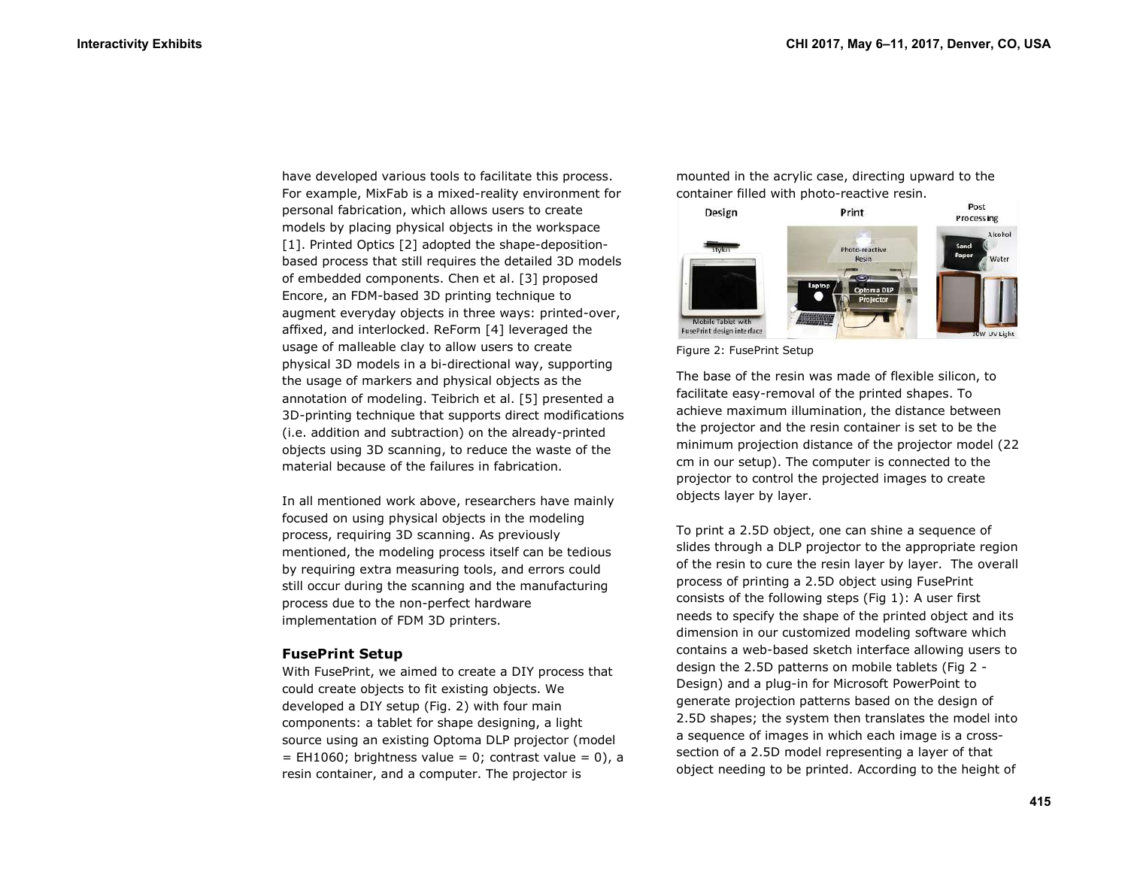have developed various tools to facilitate this process. For example, MixFab is a mixed-reality environment for personal fabrication, which allows users to create models by placing physical objects in the workspace [1]. Printed Optics [2] adopted the shape-depositionbased process that still requires the detailed 3D models of embedded components. Chen et al. [3] proposed Encore, an FDM-based 3D printing technique to augment everyday objects in three ways: printed-over, affixed, and interlocked. ReForm [4] leveraged the usage of malleable clay to allow users to create physical 3D models in a bi-directional way, supporting the usage of markers and physical objects as the annotation of modeling. Teibrich et al. [5] presented a 3D-printing technique that supports direct modifications (i.e. addition and subtraction) on the already-printed objects using 3D scanning, to reduce the waste of the material because of the failures in fabrication.

In all mentioned work above, researchers have mainly focused on using physical objects in the modeling process, requiring 3D scanning. As previously mentioned, the modeling process itself can be tedious by requiring extra measuring tools, and errors could still occur during the scanning and the manufacturing process due to the non-perfect hardware implementation of FDM 3D printers.

#### **FusePrint Setup**

With FusePrint, we aimed to create a DIY process that could create objects to fit existing objects. We developed a DIY setup (Fig. 2) with four main components: a tablet for shape designing, a light source using an existing Optoma DLP projector (model  $=$  EH1060; brightness value  $= 0$ ; contrast value  $= 0$ ), a resin container, and a computer. The projector is

mounted in the acrylic case, directing upward to the container filled with photo-reactive resin.



Figure 2: FusePrint Setup

The base of the resin was made of flexible silicon, to facilitate easy-removal of the printed shapes. To achieve maximum illumination, the distance between the projector and the resin container is set to be the minimum projection distance of the projector model (22 cm in our setup). The computer is connected to the projector to control the projected images to create objects layer by layer.

To print a 2.5D object, one can shine a sequence of slides through a DLP projector to the appropriate region of the resin to cure the resin layer by layer. The overall process of printing a 2.5D object using FusePrint consists of the following steps (Fig 1): A user first needs to specify the shape of the printed object and its dimension in our customized modeling software which contains a web-based sketch interface allowing users to design the 2.5D patterns on mobile tablets (Fig 2 - Design) and a plug-in for Microsoft PowerPoint to generate projection patterns based on the design of 2.5D shapes; the system then translates the model into a sequence of images in which each image is a crosssection of a 2.5D model representing a layer of that object needing to be printed. According to the height of